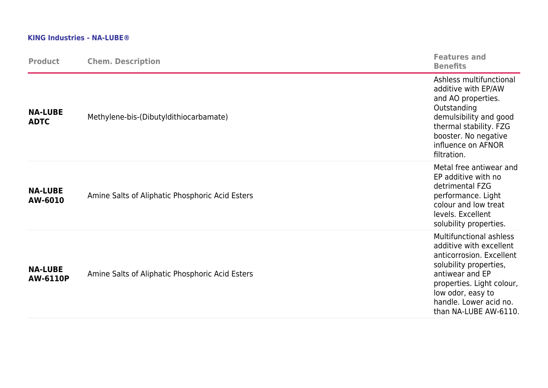## **KING Industries - NA-LUBE®**

| <b>Product</b>                    | <b>Chem. Description</b>                        | <b>Features and</b><br><b>Benefits</b>                                                                                                                                                                                           |
|-----------------------------------|-------------------------------------------------|----------------------------------------------------------------------------------------------------------------------------------------------------------------------------------------------------------------------------------|
| <b>NA-LUBE</b><br><b>ADTC</b>     | Methylene-bis-(Dibutyldithiocarbamate)          | Ashless multifunctional<br>additive with EP/AW<br>and AO properties.<br>Outstanding<br>demulsibility and good<br>thermal stability. FZG<br>booster. No negative<br>influence on AFNOR<br>filtration.                             |
| <b>NA-LUBE</b><br>AW-6010         | Amine Salts of Aliphatic Phosphoric Acid Esters | Metal free antiwear and<br>EP additive with no<br>detrimental FZG<br>performance. Light<br>colour and low treat<br>levels. Excellent<br>solubility properties.                                                                   |
| <b>NA-LUBE</b><br><b>AW-6110P</b> | Amine Salts of Aliphatic Phosphoric Acid Esters | Multifunctional ashless<br>additive with excellent<br>anticorrosion. Excellent<br>solubility properties,<br>antiwear and EP<br>properties. Light colour,<br>low odor, easy to<br>handle. Lower acid no.<br>than NA-LUBE AW-6110. |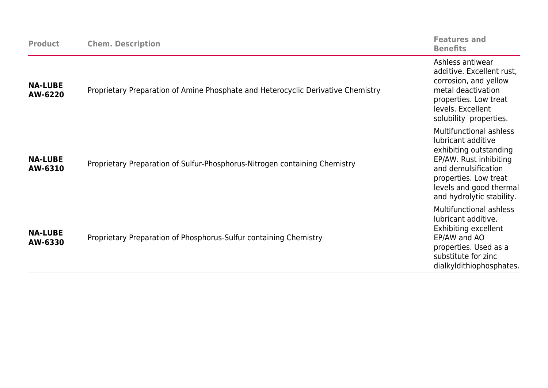| <b>Product</b>            | <b>Chem. Description</b>                                                         | <b>Features and</b><br><b>Benefits</b>                                                                                                                                                                           |
|---------------------------|----------------------------------------------------------------------------------|------------------------------------------------------------------------------------------------------------------------------------------------------------------------------------------------------------------|
| <b>NA-LUBE</b><br>AW-6220 | Proprietary Preparation of Amine Phosphate and Heterocyclic Derivative Chemistry | Ashless antiwear<br>additive. Excellent rust,<br>corrosion, and yellow<br>metal deactivation<br>properties. Low treat<br>levels. Excellent<br>solubility properties.                                             |
| <b>NA-LUBE</b><br>AW-6310 | Proprietary Preparation of Sulfur-Phosphorus-Nitrogen containing Chemistry       | <b>Multifunctional ashless</b><br>lubricant additive<br>exhibiting outstanding<br>EP/AW. Rust inhibiting<br>and demulsification<br>properties. Low treat<br>levels and good thermal<br>and hydrolytic stability. |
| <b>NA-LUBE</b><br>AW-6330 | Proprietary Preparation of Phosphorus-Sulfur containing Chemistry                | <b>Multifunctional ashless</b><br>lubricant additive.<br>Exhibiting excellent<br>EP/AW and AO<br>properties. Used as a<br>substitute for zinc<br>dialkyldithiophosphates.                                        |